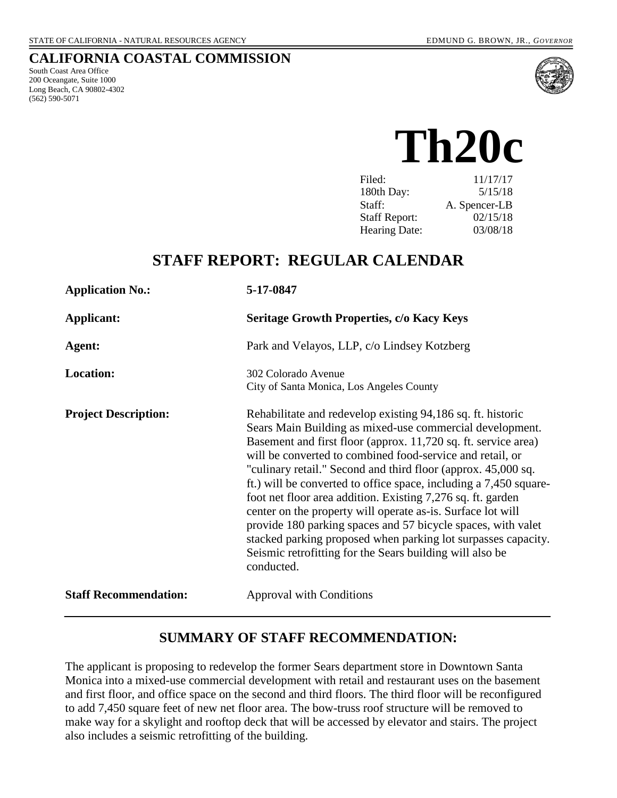#### **CALIFORNIA COASTAL COMMISSION**

South Coast Area Office 200 Oceangate, Suite 1000 Long Beach, CA 90802-4302 (562) 590-5071



 **Th20c** 

| Filed:               | 11/17/17      |
|----------------------|---------------|
| 180th Day:           | 5/15/18       |
| Staff:               | A. Spencer-LB |
| <b>Staff Report:</b> | 02/15/18      |
| <b>Hearing Date:</b> | 03/08/18      |

## **STAFF REPORT: REGULAR CALENDAR**

| <b>Application No.:</b>      | 5-17-0847                                                                                                                                                                                                                                                                                                                                                                                                                                                                                                                                                                                                                                                                                                                             |
|------------------------------|---------------------------------------------------------------------------------------------------------------------------------------------------------------------------------------------------------------------------------------------------------------------------------------------------------------------------------------------------------------------------------------------------------------------------------------------------------------------------------------------------------------------------------------------------------------------------------------------------------------------------------------------------------------------------------------------------------------------------------------|
| <b>Applicant:</b>            | <b>Seritage Growth Properties, c/o Kacy Keys</b>                                                                                                                                                                                                                                                                                                                                                                                                                                                                                                                                                                                                                                                                                      |
| Agent:                       | Park and Velayos, LLP, c/o Lindsey Kotzberg                                                                                                                                                                                                                                                                                                                                                                                                                                                                                                                                                                                                                                                                                           |
| <b>Location:</b>             | 302 Colorado Avenue<br>City of Santa Monica, Los Angeles County                                                                                                                                                                                                                                                                                                                                                                                                                                                                                                                                                                                                                                                                       |
| <b>Project Description:</b>  | Rehabilitate and redevelop existing 94,186 sq. ft. historic<br>Sears Main Building as mixed-use commercial development.<br>Basement and first floor (approx. 11,720 sq. ft. service area)<br>will be converted to combined food-service and retail, or<br>"culinary retail." Second and third floor (approx. 45,000 sq.<br>ft.) will be converted to office space, including a 7,450 square-<br>foot net floor area addition. Existing 7,276 sq. ft. garden<br>center on the property will operate as-is. Surface lot will<br>provide 180 parking spaces and 57 bicycle spaces, with valet<br>stacked parking proposed when parking lot surpasses capacity.<br>Seismic retrofitting for the Sears building will also be<br>conducted. |
| <b>Staff Recommendation:</b> | <b>Approval with Conditions</b>                                                                                                                                                                                                                                                                                                                                                                                                                                                                                                                                                                                                                                                                                                       |

### **SUMMARY OF STAFF RECOMMENDATION:**

The applicant is proposing to redevelop the former Sears department store in Downtown Santa Monica into a mixed-use commercial development with retail and restaurant uses on the basement and first floor, and office space on the second and third floors. The third floor will be reconfigured to add 7,450 square feet of new net floor area. The bow-truss roof structure will be removed to make way for a skylight and rooftop deck that will be accessed by elevator and stairs. The project also includes a seismic retrofitting of the building.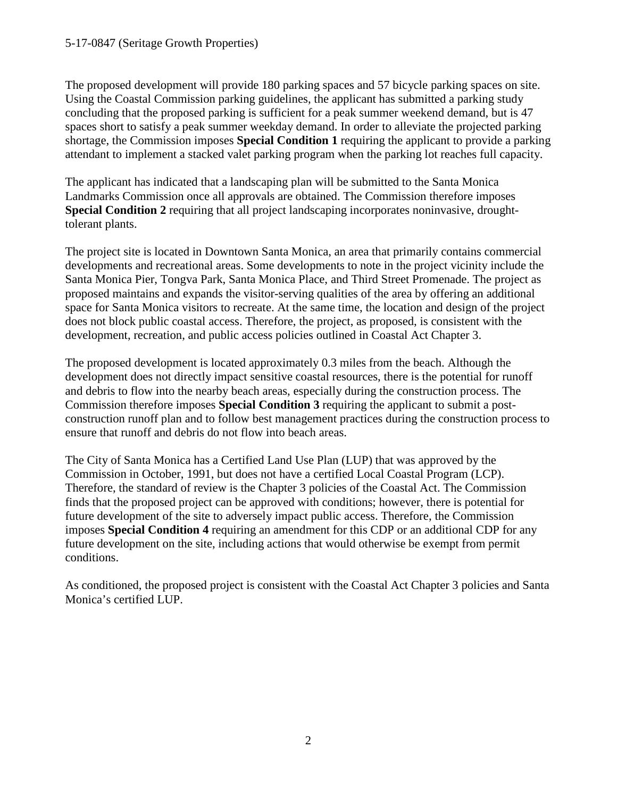The proposed development will provide 180 parking spaces and 57 bicycle parking spaces on site. Using the Coastal Commission parking guidelines, the applicant has submitted a parking study concluding that the proposed parking is sufficient for a peak summer weekend demand, but is 47 spaces short to satisfy a peak summer weekday demand. In order to alleviate the projected parking shortage, the Commission imposes **Special Condition 1** requiring the applicant to provide a parking attendant to implement a stacked valet parking program when the parking lot reaches full capacity.

The applicant has indicated that a landscaping plan will be submitted to the Santa Monica Landmarks Commission once all approvals are obtained. The Commission therefore imposes **Special Condition 2** requiring that all project landscaping incorporates noninvasive, droughttolerant plants.

The project site is located in Downtown Santa Monica, an area that primarily contains commercial developments and recreational areas. Some developments to note in the project vicinity include the Santa Monica Pier, Tongva Park, Santa Monica Place, and Third Street Promenade. The project as proposed maintains and expands the visitor-serving qualities of the area by offering an additional space for Santa Monica visitors to recreate. At the same time, the location and design of the project does not block public coastal access. Therefore, the project, as proposed, is consistent with the development, recreation, and public access policies outlined in Coastal Act Chapter 3.

The proposed development is located approximately 0.3 miles from the beach. Although the development does not directly impact sensitive coastal resources, there is the potential for runoff and debris to flow into the nearby beach areas, especially during the construction process. The Commission therefore imposes **Special Condition 3** requiring the applicant to submit a postconstruction runoff plan and to follow best management practices during the construction process to ensure that runoff and debris do not flow into beach areas.

The City of Santa Monica has a Certified Land Use Plan (LUP) that was approved by the Commission in October, 1991, but does not have a certified Local Coastal Program (LCP). Therefore, the standard of review is the Chapter 3 policies of the Coastal Act. The Commission finds that the proposed project can be approved with conditions; however, there is potential for future development of the site to adversely impact public access. Therefore, the Commission imposes **Special Condition 4** requiring an amendment for this CDP or an additional CDP for any future development on the site, including actions that would otherwise be exempt from permit conditions.

As conditioned, the proposed project is consistent with the Coastal Act Chapter 3 policies and Santa Monica's certified LUP.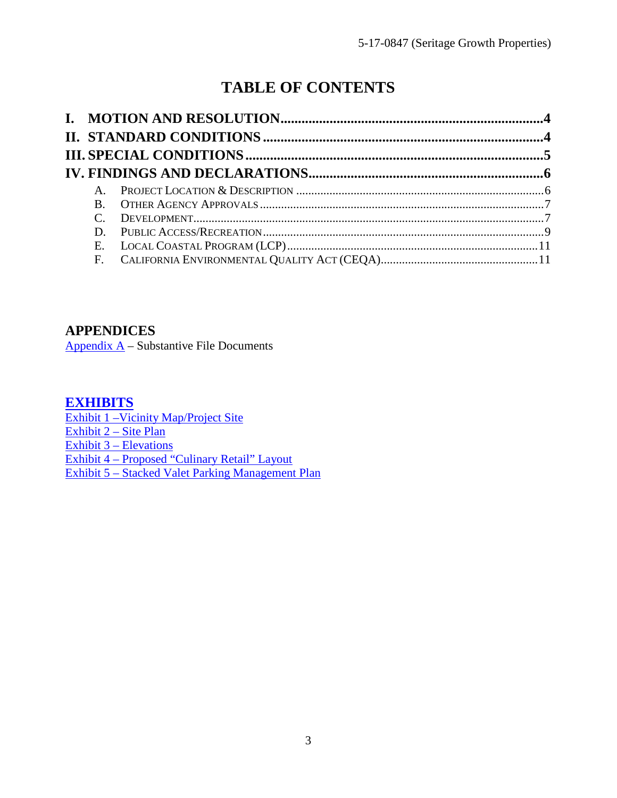# **TABLE OF CONTENTS**

| R. |  |
|----|--|
|    |  |
| D. |  |
|    |  |
|    |  |

**APPENDICES**

Appendix  $A -$  Substantive File Documents

### **[EXHIBITS](https://documents.coastal.ca.gov/reports/2018/3/Th20c/Th20c-3-2018-exhibits.pdf)**

[Exhibit 1 –Vicinity Map/Project Site](https://documents.coastal.ca.gov/reports/2018/3/Th20c/Th20c-3-2018-exhibits.pdf) [Exhibit 2 – Site Plan](https://documents.coastal.ca.gov/reports/2018/3/Th20c/Th20c-3-2018-exhibits.pdf) Exhibit 3 – Elevations [Exhibit 4 – Proposed "Culinary Retail" Layout](https://documents.coastal.ca.gov/reports/2018/3/Th20c/Th20c-3-2018-exhibits.pdf) [Exhibit 5 – Stacked Valet Parking Management Plan](https://documents.coastal.ca.gov/reports/2018/3/Th20c/Th20c-3-2018-exhibits.pdf)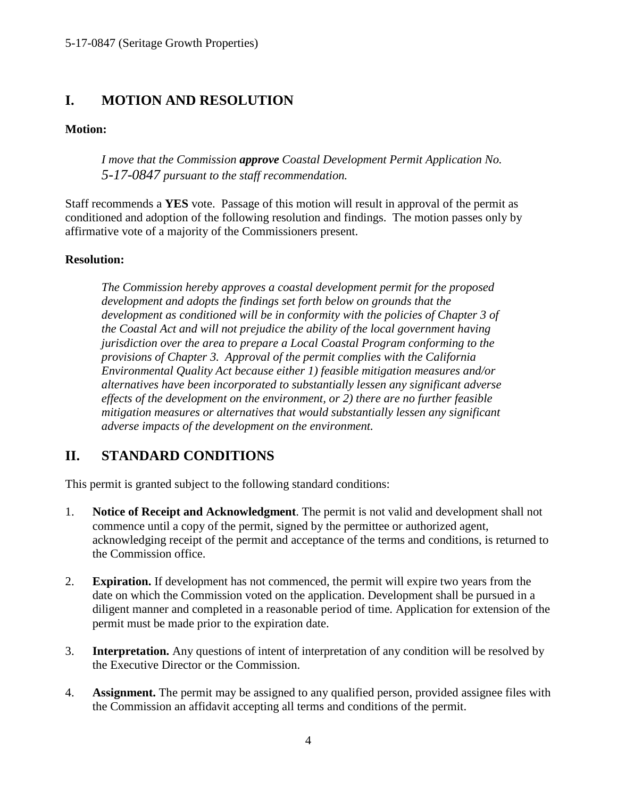## <span id="page-3-0"></span>**I. MOTION AND RESOLUTION**

#### **Motion:**

*I move that the Commission approve Coastal Development Permit Application No. 5-17-0847 pursuant to the staff recommendation.*

Staff recommends a **YES** vote. Passage of this motion will result in approval of the permit as conditioned and adoption of the following resolution and findings. The motion passes only by affirmative vote of a majority of the Commissioners present.

#### **Resolution:**

*The Commission hereby approves a coastal development permit for the proposed development and adopts the findings set forth below on grounds that the development as conditioned will be in conformity with the policies of Chapter 3 of the Coastal Act and will not prejudice the ability of the local government having jurisdiction over the area to prepare a Local Coastal Program conforming to the provisions of Chapter 3. Approval of the permit complies with the California Environmental Quality Act because either 1) feasible mitigation measures and/or alternatives have been incorporated to substantially lessen any significant adverse effects of the development on the environment, or 2) there are no further feasible mitigation measures or alternatives that would substantially lessen any significant adverse impacts of the development on the environment.* 

### <span id="page-3-1"></span>**II. STANDARD CONDITIONS**

This permit is granted subject to the following standard conditions:

- 1. **Notice of Receipt and Acknowledgment**. The permit is not valid and development shall not commence until a copy of the permit, signed by the permittee or authorized agent, acknowledging receipt of the permit and acceptance of the terms and conditions, is returned to the Commission office.
- 2. **Expiration.** If development has not commenced, the permit will expire two years from the date on which the Commission voted on the application. Development shall be pursued in a diligent manner and completed in a reasonable period of time. Application for extension of the permit must be made prior to the expiration date.
- 3. **Interpretation.** Any questions of intent of interpretation of any condition will be resolved by the Executive Director or the Commission.
- 4. **Assignment.** The permit may be assigned to any qualified person, provided assignee files with the Commission an affidavit accepting all terms and conditions of the permit.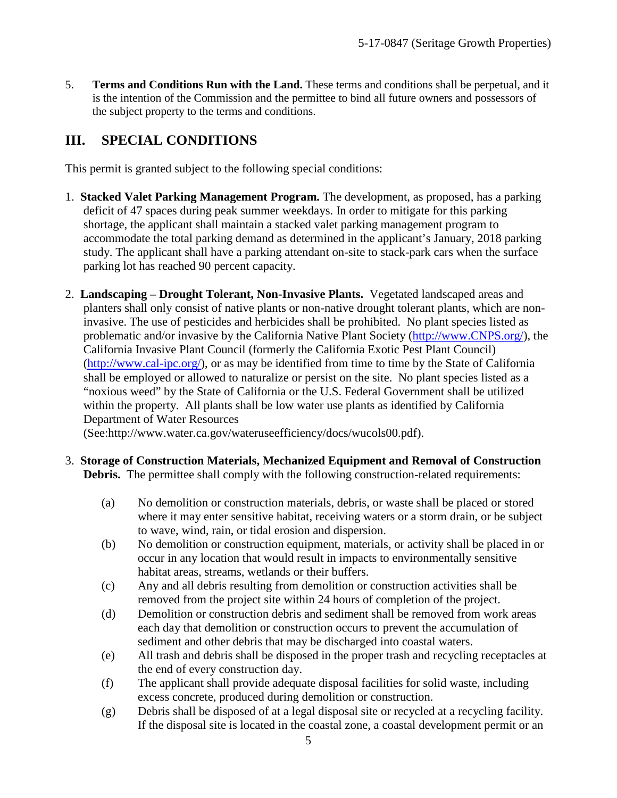5. **Terms and Conditions Run with the Land.** These terms and conditions shall be perpetual, and it is the intention of the Commission and the permittee to bind all future owners and possessors of the subject property to the terms and conditions.

## <span id="page-4-0"></span>**III. SPECIAL CONDITIONS**

This permit is granted subject to the following special conditions:

- 1. **Stacked Valet Parking Management Program.** The development, as proposed, has a parking deficit of 47 spaces during peak summer weekdays. In order to mitigate for this parking shortage, the applicant shall maintain a stacked valet parking management program to accommodate the total parking demand as determined in the applicant's January, 2018 parking study. The applicant shall have a parking attendant on-site to stack-park cars when the surface parking lot has reached 90 percent capacity.
- 2. **Landscaping Drought Tolerant, Non-Invasive Plants.** Vegetated landscaped areas and planters shall only consist of native plants or non-native drought tolerant plants, which are noninvasive. The use of pesticides and herbicides shall be prohibited. No plant species listed as problematic and/or invasive by the California Native Plant Society [\(http://www.CNPS.org/\)](http://www.cnps.org/), the California Invasive Plant Council (formerly the California Exotic Pest Plant Council) [\(http://www.cal-ipc.org/\)](http://www.cal-ipc.org/), or as may be identified from time to time by the State of California shall be employed or allowed to naturalize or persist on the site. No plant species listed as a "noxious weed" by the State of California or the U.S. Federal Government shall be utilized within the property. All plants shall be low water use plants as identified by California Department of Water Resources

(See:http://www.water.ca.gov/wateruseefficiency/docs/wucols00.pdf).

- 3. **Storage of Construction Materials, Mechanized Equipment and Removal of Construction Debris.** The permittee shall comply with the following construction-related requirements:
	- (a) No demolition or construction materials, debris, or waste shall be placed or stored where it may enter sensitive habitat, receiving waters or a storm drain, or be subject to wave, wind, rain, or tidal erosion and dispersion.
	- (b) No demolition or construction equipment, materials, or activity shall be placed in or occur in any location that would result in impacts to environmentally sensitive habitat areas, streams, wetlands or their buffers.
	- (c) Any and all debris resulting from demolition or construction activities shall be removed from the project site within 24 hours of completion of the project.
	- (d) Demolition or construction debris and sediment shall be removed from work areas each day that demolition or construction occurs to prevent the accumulation of sediment and other debris that may be discharged into coastal waters.
	- (e) All trash and debris shall be disposed in the proper trash and recycling receptacles at the end of every construction day.
	- (f) The applicant shall provide adequate disposal facilities for solid waste, including excess concrete, produced during demolition or construction.
	- (g) Debris shall be disposed of at a legal disposal site or recycled at a recycling facility. If the disposal site is located in the coastal zone, a coastal development permit or an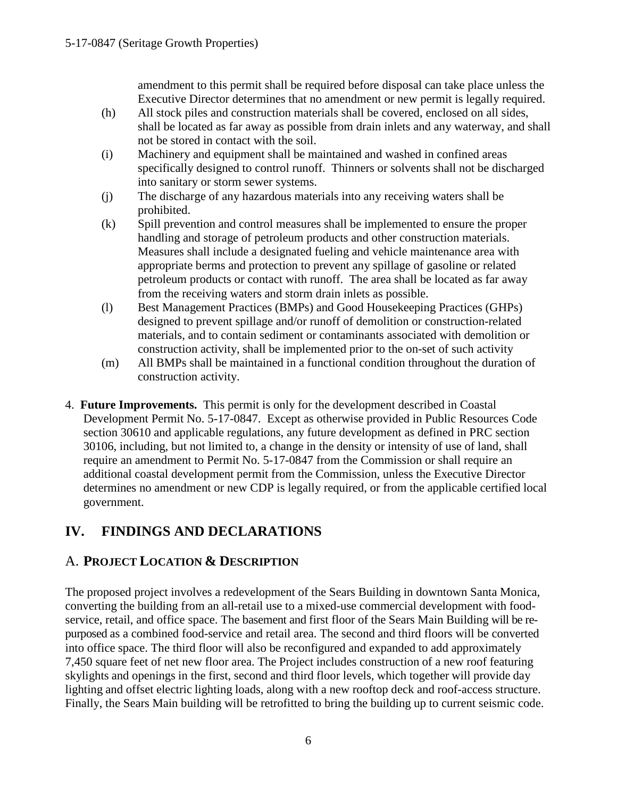amendment to this permit shall be required before disposal can take place unless the Executive Director determines that no amendment or new permit is legally required.

- (h) All stock piles and construction materials shall be covered, enclosed on all sides, shall be located as far away as possible from drain inlets and any waterway, and shall not be stored in contact with the soil.
- (i) Machinery and equipment shall be maintained and washed in confined areas specifically designed to control runoff. Thinners or solvents shall not be discharged into sanitary or storm sewer systems.
- (j) The discharge of any hazardous materials into any receiving waters shall be prohibited.
- (k) Spill prevention and control measures shall be implemented to ensure the proper handling and storage of petroleum products and other construction materials. Measures shall include a designated fueling and vehicle maintenance area with appropriate berms and protection to prevent any spillage of gasoline or related petroleum products or contact with runoff. The area shall be located as far away from the receiving waters and storm drain inlets as possible.
- (l) Best Management Practices (BMPs) and Good Housekeeping Practices (GHPs) designed to prevent spillage and/or runoff of demolition or construction-related materials, and to contain sediment or contaminants associated with demolition or construction activity, shall be implemented prior to the on-set of such activity
- (m) All BMPs shall be maintained in a functional condition throughout the duration of construction activity.
- 4. **Future Improvements.** This permit is only for the development described in Coastal Development Permit No. 5-17-0847. Except as otherwise provided in Public Resources Code section 30610 and applicable regulations, any future development as defined in PRC section 30106, including, but not limited to, a change in the density or intensity of use of land, shall require an amendment to Permit No. 5-17-0847 from the Commission or shall require an additional coastal development permit from the Commission, unless the Executive Director determines no amendment or new CDP is legally required, or from the applicable certified local government.

## <span id="page-5-0"></span>**IV. FINDINGS AND DECLARATIONS**

### <span id="page-5-1"></span>A. **PROJECT LOCATION & DESCRIPTION**

The proposed project involves a redevelopment of the Sears Building in downtown Santa Monica, converting the building from an all-retail use to a mixed-use commercial development with foodservice, retail, and office space. The basement and first floor of the Sears Main Building will be repurposed as a combined food-service and retail area. The second and third floors will be converted into office space. The third floor will also be reconfigured and expanded to add approximately 7,450 square feet of net new floor area. The Project includes construction of a new roof featuring skylights and openings in the first, second and third floor levels, which together will provide day lighting and offset electric lighting loads, along with a new rooftop deck and roof-access structure. Finally, the Sears Main building will be retrofitted to bring the building up to current seismic code.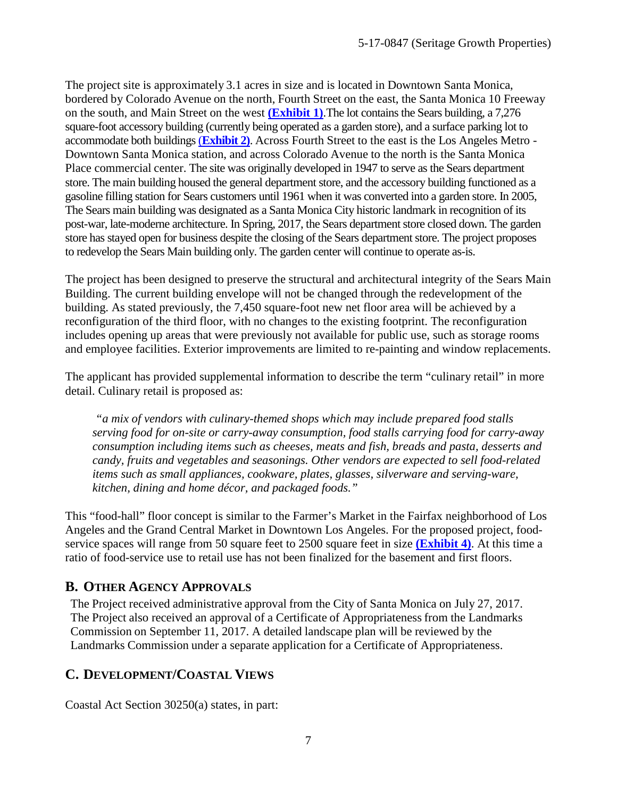The project site is approximately 3.1 acres in size and is located in Downtown Santa Monica, bordered by Colorado Avenue on the north, Fourth Street on the east, the Santa Monica 10 Freeway on the south, and Main Street on the west **[\(Exhibit 1\)](https://documents.coastal.ca.gov/reports/2018/3/Th20c/Th20c-3-2018-exhibits.pdf)**.The lot contains the Sears building, a 7,276 square-foot accessory building (currently being operated as a garden store), and a surface parking lot to accommodate both buildings (**[Exhibit 2\)](https://documents.coastal.ca.gov/reports/2018/3/Th20c/Th20c-3-2018-exhibits.pdf)**. Across Fourth Street to the east is the Los Angeles Metro - Downtown Santa Monica station, and across Colorado Avenue to the north is the Santa Monica Place commercial center. The site was originally developed in 1947 to serve as the Sears department store. The main building housed the general department store, and the accessory building functioned as a gasoline filling station for Sears customers until 1961 when it was converted into a garden store. In 2005, The Sears main building was designated as a Santa Monica City historic landmark in recognition of its post-war, late-moderne architecture. In Spring, 2017, the Sears department store closed down. The garden store has stayed open for business despite the closing of the Sears department store. The project proposes to redevelop the Sears Main building only. The garden center will continue to operate as-is.

The project has been designed to preserve the structural and architectural integrity of the Sears Main Building. The current building envelope will not be changed through the redevelopment of the building. As stated previously, the 7,450 square-foot new net floor area will be achieved by a reconfiguration of the third floor, with no changes to the existing footprint. The reconfiguration includes opening up areas that were previously not available for public use, such as storage rooms and employee facilities. Exterior improvements are limited to re-painting and window replacements.

The applicant has provided supplemental information to describe the term "culinary retail" in more detail. Culinary retail is proposed as:

 *"a mix of vendors with culinary-themed shops which may include prepared food stalls serving food for on-site or carry-away consumption, food stalls carrying food for carry-away consumption including items such as cheeses, meats and fish, breads and pasta, desserts and candy, fruits and vegetables and seasonings. Other vendors are expected to sell food-related items such as small appliances, cookware, plates, glasses, silverware and serving-ware, kitchen, dining and home décor, and packaged foods."* 

This "food-hall" floor concept is similar to the Farmer's Market in the Fairfax neighborhood of Los Angeles and the Grand Central Market in Downtown Los Angeles. For the proposed project, foodservice spaces will range from 50 square feet to 2500 square feet in size **[\(Exhibit 4\)](https://documents.coastal.ca.gov/reports/2018/3/Th20c/Th20c-3-2018-exhibits.pdf)**. At this time a ratio of food-service use to retail use has not been finalized for the basement and first floors.

### <span id="page-6-0"></span>**B. OTHER AGENCY APPROVALS**

The Project received administrative approval from the City of Santa Monica on July 27, 2017. The Project also received an approval of a Certificate of Appropriateness from the Landmarks Commission on September 11, 2017. A detailed landscape plan will be reviewed by the Landmarks Commission under a separate application for a Certificate of Appropriateness.

### <span id="page-6-1"></span>**C. DEVELOPMENT/COASTAL VIEWS**

Coastal Act Section 30250(a) states, in part: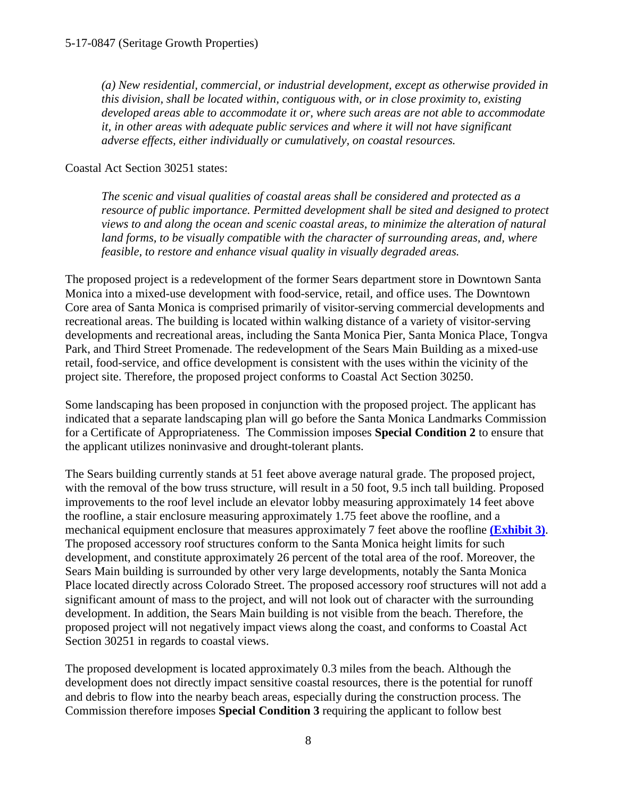*(a) New residential, commercial, or industrial development, except as otherwise provided in this division, shall be located within, contiguous with, or in close proximity to, existing developed areas able to accommodate it or, where such areas are not able to accommodate it, in other areas with adequate public services and where it will not have significant adverse effects, either individually or cumulatively, on coastal resources.* 

Coastal Act Section 30251 states:

*The scenic and visual qualities of coastal areas shall be considered and protected as a resource of public importance. Permitted development shall be sited and designed to protect views to and along the ocean and scenic coastal areas, to minimize the alteration of natural land forms, to be visually compatible with the character of surrounding areas, and, where feasible, to restore and enhance visual quality in visually degraded areas.* 

The proposed project is a redevelopment of the former Sears department store in Downtown Santa Monica into a mixed-use development with food-service, retail, and office uses. The Downtown Core area of Santa Monica is comprised primarily of visitor-serving commercial developments and recreational areas. The building is located within walking distance of a variety of visitor-serving developments and recreational areas, including the Santa Monica Pier, Santa Monica Place, Tongva Park, and Third Street Promenade. The redevelopment of the Sears Main Building as a mixed-use retail, food-service, and office development is consistent with the uses within the vicinity of the project site. Therefore, the proposed project conforms to Coastal Act Section 30250.

Some landscaping has been proposed in conjunction with the proposed project. The applicant has indicated that a separate landscaping plan will go before the Santa Monica Landmarks Commission for a Certificate of Appropriateness. The Commission imposes **Special Condition 2** to ensure that the applicant utilizes noninvasive and drought-tolerant plants.

The Sears building currently stands at 51 feet above average natural grade. The proposed project, with the removal of the bow truss structure, will result in a 50 foot, 9.5 inch tall building. Proposed improvements to the roof level include an elevator lobby measuring approximately 14 feet above the roofline, a stair enclosure measuring approximately 1.75 feet above the roofline, and a mechanical equipment enclosure that measures approximately 7 feet above the roofline **[\(Exhibit 3\)](https://documents.coastal.ca.gov/reports/2018/3/Th20c/Th20c-3-2018-exhibits.pdf)**. The proposed accessory roof structures conform to the Santa Monica height limits for such development, and constitute approximately 26 percent of the total area of the roof. Moreover, the Sears Main building is surrounded by other very large developments, notably the Santa Monica Place located directly across Colorado Street. The proposed accessory roof structures will not add a significant amount of mass to the project, and will not look out of character with the surrounding development. In addition, the Sears Main building is not visible from the beach. Therefore, the proposed project will not negatively impact views along the coast, and conforms to Coastal Act Section 30251 in regards to coastal views.

The proposed development is located approximately 0.3 miles from the beach. Although the development does not directly impact sensitive coastal resources, there is the potential for runoff and debris to flow into the nearby beach areas, especially during the construction process. The Commission therefore imposes **Special Condition 3** requiring the applicant to follow best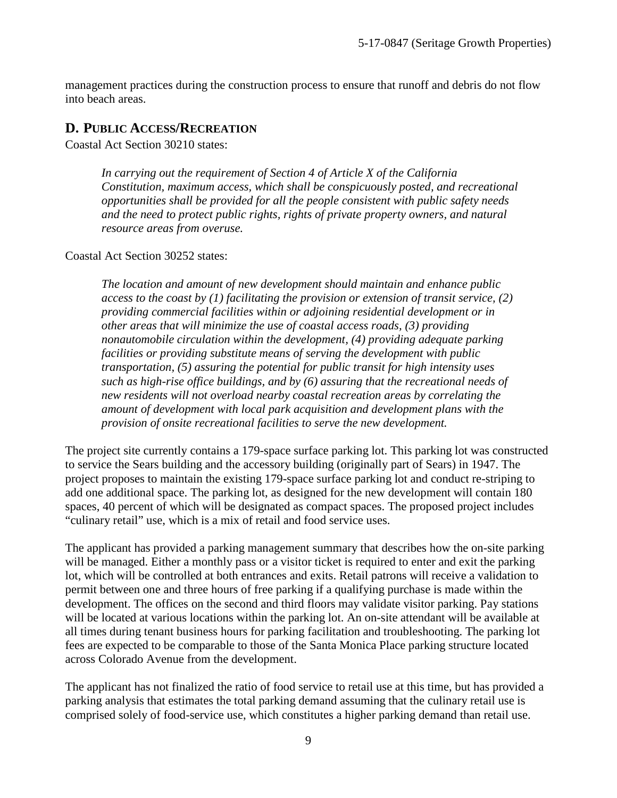management practices during the construction process to ensure that runoff and debris do not flow into beach areas.

### <span id="page-8-0"></span>**D. PUBLIC ACCESS/RECREATION**

Coastal Act Section 30210 states:

*In carrying out the requirement of Section 4 of Article X of the California Constitution, maximum access, which shall be conspicuously posted, and recreational opportunities shall be provided for all the people consistent with public safety needs and the need to protect public rights, rights of private property owners, and natural resource areas from overuse.* 

Coastal Act Section 30252 states:

*The location and amount of new development should maintain and enhance public access to the coast by (1) facilitating the provision or extension of transit service, (2) providing commercial facilities within or adjoining residential development or in other areas that will minimize the use of coastal access roads, (3) providing nonautomobile circulation within the development, (4) providing adequate parking facilities or providing substitute means of serving the development with public transportation, (5) assuring the potential for public transit for high intensity uses such as high-rise office buildings, and by (6) assuring that the recreational needs of new residents will not overload nearby coastal recreation areas by correlating the amount of development with local park acquisition and development plans with the provision of onsite recreational facilities to serve the new development.* 

The project site currently contains a 179-space surface parking lot. This parking lot was constructed to service the Sears building and the accessory building (originally part of Sears) in 1947. The project proposes to maintain the existing 179-space surface parking lot and conduct re-striping to add one additional space. The parking lot, as designed for the new development will contain 180 spaces, 40 percent of which will be designated as compact spaces. The proposed project includes "culinary retail" use, which is a mix of retail and food service uses.

The applicant has provided a parking management summary that describes how the on-site parking will be managed. Either a monthly pass or a visitor ticket is required to enter and exit the parking lot, which will be controlled at both entrances and exits. Retail patrons will receive a validation to permit between one and three hours of free parking if a qualifying purchase is made within the development. The offices on the second and third floors may validate visitor parking. Pay stations will be located at various locations within the parking lot. An on-site attendant will be available at all times during tenant business hours for parking facilitation and troubleshooting. The parking lot fees are expected to be comparable to those of the Santa Monica Place parking structure located across Colorado Avenue from the development.

The applicant has not finalized the ratio of food service to retail use at this time, but has provided a parking analysis that estimates the total parking demand assuming that the culinary retail use is comprised solely of food-service use, which constitutes a higher parking demand than retail use.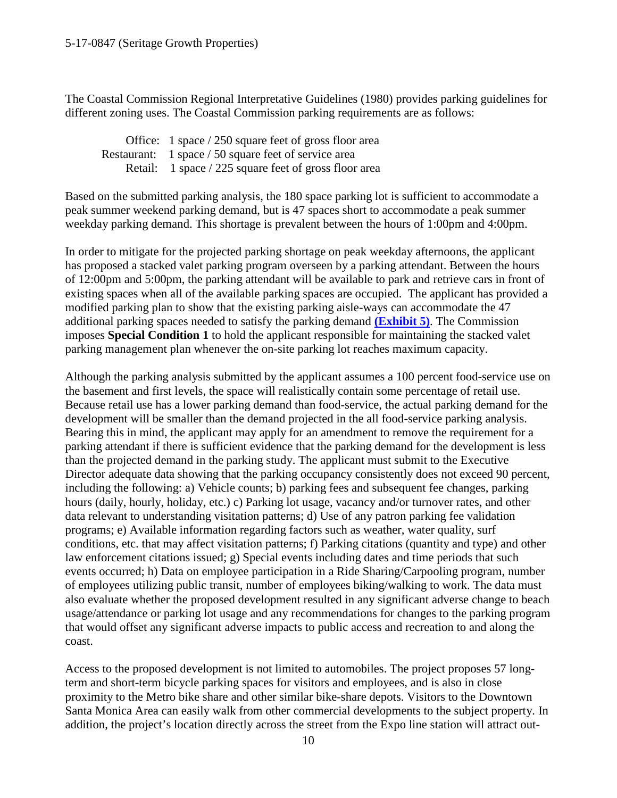The Coastal Commission Regional Interpretative Guidelines (1980) provides parking guidelines for different zoning uses. The Coastal Commission parking requirements are as follows:

 Office: 1 space / 250 square feet of gross floor area Restaurant: 1 space / 50 square feet of service area Retail: 1 space / 225 square feet of gross floor area

Based on the submitted parking analysis, the 180 space parking lot is sufficient to accommodate a peak summer weekend parking demand, but is 47 spaces short to accommodate a peak summer weekday parking demand. This shortage is prevalent between the hours of 1:00pm and 4:00pm.

In order to mitigate for the projected parking shortage on peak weekday afternoons, the applicant has proposed a stacked valet parking program overseen by a parking attendant. Between the hours of 12:00pm and 5:00pm, the parking attendant will be available to park and retrieve cars in front of existing spaces when all of the available parking spaces are occupied. The applicant has provided a modified parking plan to show that the existing parking aisle-ways can accommodate the 47 additional parking spaces needed to satisfy the parking demand **[\(Exhibit 5\)](https://documents.coastal.ca.gov/reports/2018/3/Th20c/Th20c-3-2018-exhibits.pdf)**. The Commission imposes **Special Condition 1** to hold the applicant responsible for maintaining the stacked valet parking management plan whenever the on-site parking lot reaches maximum capacity.

Although the parking analysis submitted by the applicant assumes a 100 percent food-service use on the basement and first levels, the space will realistically contain some percentage of retail use. Because retail use has a lower parking demand than food-service, the actual parking demand for the development will be smaller than the demand projected in the all food-service parking analysis. Bearing this in mind, the applicant may apply for an amendment to remove the requirement for a parking attendant if there is sufficient evidence that the parking demand for the development is less than the projected demand in the parking study. The applicant must submit to the Executive Director adequate data showing that the parking occupancy consistently does not exceed 90 percent, including the following: a) Vehicle counts; b) parking fees and subsequent fee changes, parking hours (daily, hourly, holiday, etc.) c) Parking lot usage, vacancy and/or turnover rates, and other data relevant to understanding visitation patterns; d) Use of any patron parking fee validation programs; e) Available information regarding factors such as weather, water quality, surf conditions, etc. that may affect visitation patterns; f) Parking citations (quantity and type) and other law enforcement citations issued; g) Special events including dates and time periods that such events occurred; h) Data on employee participation in a Ride Sharing/Carpooling program, number of employees utilizing public transit, number of employees biking/walking to work. The data must also evaluate whether the proposed development resulted in any significant adverse change to beach usage/attendance or parking lot usage and any recommendations for changes to the parking program that would offset any significant adverse impacts to public access and recreation to and along the coast.

Access to the proposed development is not limited to automobiles. The project proposes 57 longterm and short-term bicycle parking spaces for visitors and employees, and is also in close proximity to the Metro bike share and other similar bike-share depots. Visitors to the Downtown Santa Monica Area can easily walk from other commercial developments to the subject property. In addition, the project's location directly across the street from the Expo line station will attract out